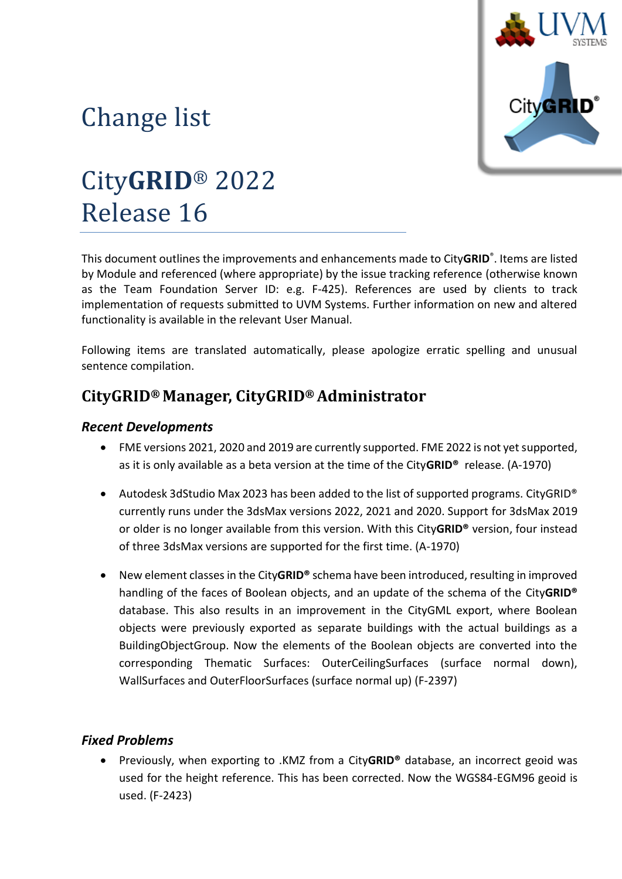

# Change list

# City**GRID**® 2022 Release 16

This document outlines the improvements and enhancements made to City**GRID**® . Items are listed by Module and referenced (where appropriate) by the issue tracking reference (otherwise known as the Team Foundation Server ID: e.g. F-425). References are used by clients to track implementation of requests submitted to UVM Systems. Further information on new and altered functionality is available in the relevant User Manual.

Following items are translated automatically, please apologize erratic spelling and unusual sentence compilation.

## **CityGRID® Manager, CityGRID® Administrator**

#### *Recent Developments*

- FME versions 2021, 2020 and 2019 are currently supported. FME 2022 is not yet supported, as it is only available as a beta version at the time of the City**GRID®** release. (A-1970)
- Autodesk 3dStudio Max 2023 has been added to the list of supported programs. CityGRID<sup>®</sup> currently runs under the 3dsMax versions 2022, 2021 and 2020. Support for 3dsMax 2019 or older is no longer available from this version. With this City**GRID®** version, four instead of three 3dsMax versions are supported for the first time. (A-1970)
- New element classes in the City**GRID®** schema have been introduced, resulting in improved handling of the faces of Boolean objects, and an update of the schema of the City**GRID®** database. This also results in an improvement in the CityGML export, where Boolean objects were previously exported as separate buildings with the actual buildings as a BuildingObjectGroup. Now the elements of the Boolean objects are converted into the corresponding Thematic Surfaces: OuterCeilingSurfaces (surface normal down), WallSurfaces and OuterFloorSurfaces (surface normal up) (F-2397)

#### *Fixed Problems*

• Previously, when exporting to .KMZ from a City**GRID®** database, an incorrect geoid was used for the height reference. This has been corrected. Now the WGS84-EGM96 geoid is used. (F-2423)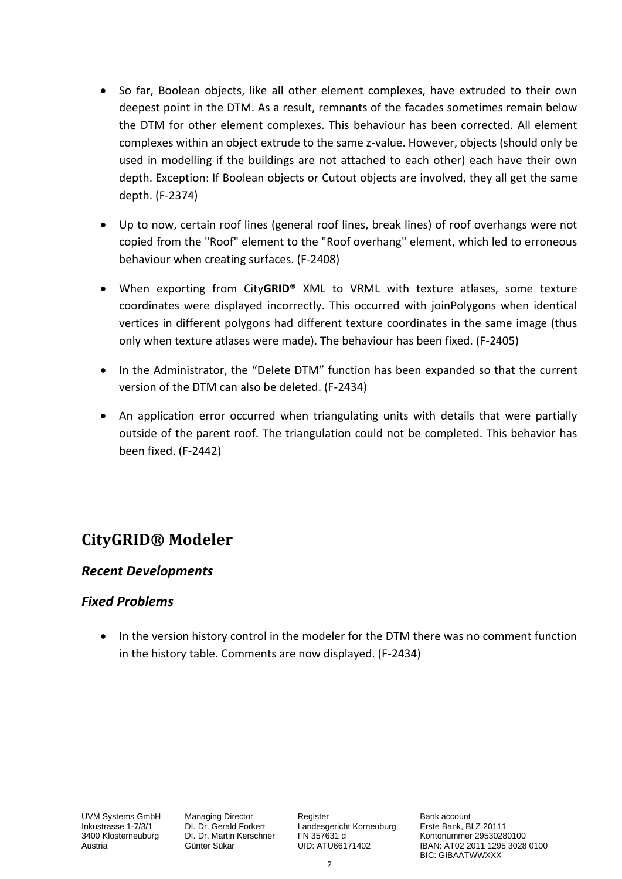- So far, Boolean objects, like all other element complexes, have extruded to their own deepest point in the DTM. As a result, remnants of the facades sometimes remain below the DTM for other element complexes. This behaviour has been corrected. All element complexes within an object extrude to the same z-value. However, objects (should only be used in modelling if the buildings are not attached to each other) each have their own depth. Exception: If Boolean objects or Cutout objects are involved, they all get the same depth. (F-2374)
- Up to now, certain roof lines (general roof lines, break lines) of roof overhangs were not copied from the "Roof" element to the "Roof overhang" element, which led to erroneous behaviour when creating surfaces. (F-2408)
- When exporting from City**GRID®** XML to VRML with texture atlases, some texture coordinates were displayed incorrectly. This occurred with joinPolygons when identical vertices in different polygons had different texture coordinates in the same image (thus only when texture atlases were made). The behaviour has been fixed. (F-2405)
- In the Administrator, the "Delete DTM" function has been expanded so that the current version of the DTM can also be deleted. (F-2434)
- An application error occurred when triangulating units with details that were partially outside of the parent roof. The triangulation could not be completed. This behavior has been fixed. (F-2442)

### **CityGRID® Modeler**

#### *Recent Developments*

#### *Fixed Problems*

• In the version history control in the modeler for the DTM there was no comment function in the history table. Comments are now displayed. (F-2434)

UVM Systems GmbH Managing Director Register Register Bank account<br>
Inkustrasse 1-7/3/1 DI. Dr. Gerald Forkert Landesgericht Korneuburg Erste Bank, BLZ 20111 Inkustrasse 1-7/3/1 DI. Dr. Gerald Forkert Landesgericht Korneuburg 3400 Klosterneuburg DI. Dr. Martin Kerschner FN 357631 d

1340 DI. Dr. Martin Kerschner FN 357631 d<br>3400 Günter Sükar CID: ATU66171402 (BAN: AT02 2011 1295 3028 Austria Günter Sükar UID: ATU66171402 IBAN: AT02 2011 1295 3028 0100 BIC: GIBAATWWXXX